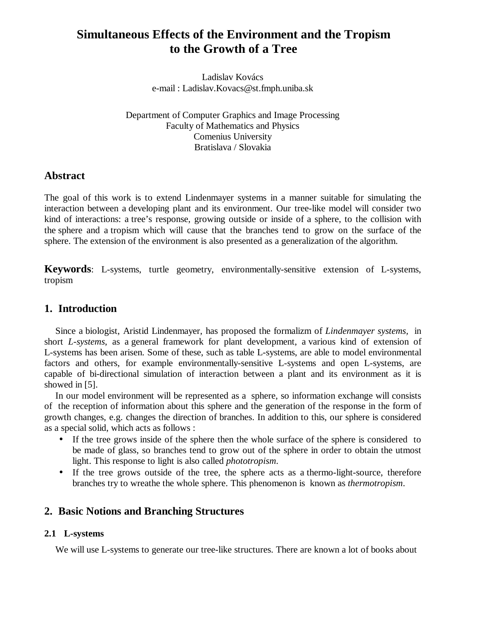# **Simultaneous Effects of the Environment and the Tropism to the Growth of a Tree**

Ladislav Kovács e-mail : Ladislav.Kovacs@st.fmph.uniba.sk

Department of Computer Graphics and Image Processing Faculty of Mathematics and Physics Comenius University Bratislava / Slovakia

# **Abstract**

The goal of this work is to extend Lindenmayer systems in a manner suitable for simulating the interaction between a developing plant and its environment. Our tree-like model will consider two kind of interactions: a tree's response, growing outside or inside of a sphere, to the collision with the sphere and a tropism which will cause that the branches tend to grow on the surface of the sphere. The extension of the environment is also presented as a generalization of the algorithm.

**Keywords**: L-systems, turtle geometry, environmentally-sensitive extension of L-systems, tropism

# **1. Introduction**

Since a biologist, Aristid Lindenmayer, has proposed the formalizm of *Lindenmayer systems,* in short *L-systems*, as a general framework for plant development, a various kind of extension of L-systems has been arisen. Some of these, such as table L-systems, are able to model environmental factors and others, for example environmentally-sensitive L-systems and open L-systems, are capable of bi-directional simulation of interaction between a plant and its environment as it is showed in [5].

In our model environment will be represented as a sphere, so information exchange will consists of the reception of information about this sphere and the generation of the response in the form of growth changes, e.g. changes the direction of branches. In addition to this, our sphere is considered as a special solid, which acts as follows :

- If the tree grows inside of the sphere then the whole surface of the sphere is considered to be made of glass, so branches tend to grow out of the sphere in order to obtain the utmost light. This response to light is also called *phototropism*.
- If the tree grows outside of the tree, the sphere acts as a thermo-light-source, therefore branches try to wreathe the whole sphere. This phenomenon is known as *thermotropism*.

# **2. Basic Notions and Branching Structures**

### **2.1 L-systems**

We will use L-systems to generate our tree-like structures. There are known a lot of books about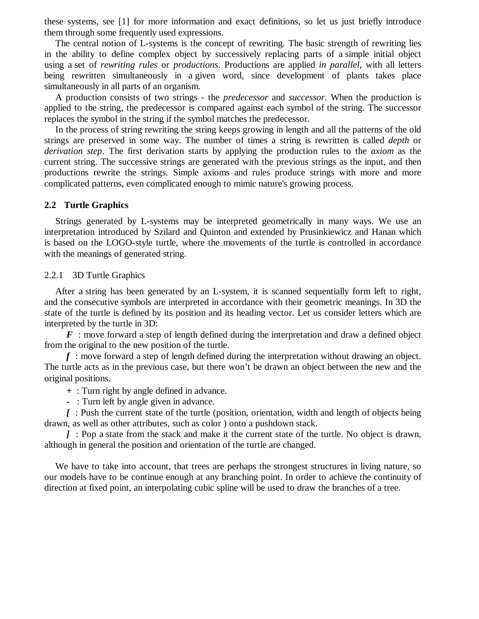these systems, see [1] for more information and exact definitions, so let us just briefly introduce them through some frequently used expressions.

The central notion of L-systems is the concept of rewriting. The basic strength of rewriting lies in the ability to define complex object by successively replacing parts of a simple initial object using a set of *rewriting rules* or *productions*. Productions are applied *in parallel*, with all letters being rewritten simultaneously in a given word*,* since development of plants takes place simultaneously in all parts of an organism.

A production consists of two strings - the *predecessor* and *successor*. When the production is applied to the string, the predecessor is compared against each symbol of the string. The successor replaces the symbol in the string if the symbol matches the predecessor.

In the process of string rewriting the string keeps growing in length and all the patterns of the old strings are preserved in some way. The number of times a string is rewritten is called *depth* or *derivation step*. The first derivation starts by applying the production rules to the *axiom* as the current string. The successive strings are generated with the previous strings as the input, and then productions rewrite the strings. Simple axioms and rules produce strings with more and more complicated patterns, even complicated enough to mimic nature's growing process.

#### **2.2 Turtle Graphics**

Strings generated by L-systems may be interpreted geometrically in many ways. We use an interpretation introduced by Szilard and Quinton and extended by Prusinkiewicz and Hanan which is based on the LOGO-style turtle, where the movements of the turtle is controlled in accordance with the meanings of generated string.

2.2.1 3D Turtle Graphics

After a string has been generated by an L-system, it is scanned sequentially form left to right, and the consecutive symbols are interpreted in accordance with their geometric meanings. In 3D the state of the turtle is defined by its position and its heading vector. Let us consider letters which are interpreted by the turtle in 3D:

*F* : move forward a step of length defined during the interpretation and draw a defined object from the original to the new position of the turtle.

*f* : move forward a step of length defined during the interpretation without drawing an object. The turtle acts as in the previous case, but there won't be drawn an object between the new and the original positions.

*+* : Turn right by angle defined in advance.

*-* : Turn left by angle given in advance.

*[* : Push the current state of the turtle (position, orientation, width and length of objects being drawn, as well as other attributes, such as color ) onto a pushdown stack.

*]* : Pop a state from the stack and make it the current state of the turtle. No object is drawn, although in general the position and orientation of the turtle are changed.

We have to take into account, that trees are perhaps the strongest structures in living nature, so our models have to be continue enough at any branching point. In order to achieve the continuity of direction at fixed point, an interpolating cubic spline will be used to draw the branches of a tree.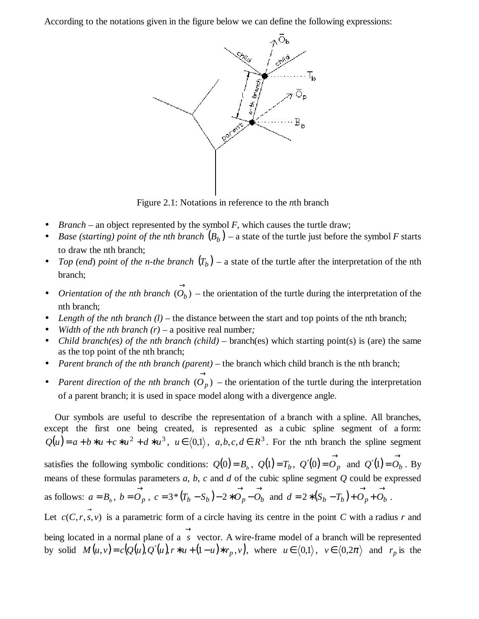According to the notations given in the figure below we can define the following expressions:



Figure 2.1: Notations in reference to the *n*th branch

- *Branch* an object represented by the symbol  $F$ , which causes the turtle draw;
- *Base (starting) point of the nth branch*  $(B_b)$  a state of the turtle just before the symbol *F* starts to draw the nth branch;
- *Top (end) point of the n-the branch*  $(T_b)$  a state of the turtle after the interpretation of the nth branch;
- *Orientation of the nth branch*  $(O_b)$  $\rightarrow$  $O_b$ ) – the orientation of the turtle during the interpretation of the nth branch;
- *Length of the nth branch*  $(l)$  the distance between the start and top points of the nth branch;
- *Width of the nth branch (r)* a positive real number;
- *Child branch(es) of the nth branch (child)* branch(es) which starting point(s) is (are) the same as the top point of the nth branch;
- *Parent branch of the nth branch (parent)* the branch which child branch is the nth branch;
- *Parent direction of the nth branch*  $(O_p)$  $\rightarrow$  $O_p$ ) – the orientation of the turtle during the interpretation of a parent branch; it is used in space model along with a divergence angle.

Our symbols are useful to describe the representation of a branch with a spline. All branches, except the first one being created, is represented as a cubic spline segment of a form:  $Q(u) = a + b * u + c * u^2 + d * u^3$ ,  $u \in (0,1)$ ,  $a,b,c,d \in \mathbb{R}^3$ . For the nth branch the spline segment satisfies the following symbolic conditions:  $Q(0) = B_b$ ,  $Q(1) = T_b$ ,  $Q'(0) = O_p$  $Q'(0) = O_p$  and  $Q'(1)$  $\rightarrow$  $Q'(1) = O_b$ . By means of these formulas parameters  $a$ ,  $b$ ,  $c$  and  $d$  of the cubic spline segment  $Q$  could be expressed as follows:  $a = B_b$ ,  $\rightarrow$  $b = O_p$ ,  $c = 3*(T_b - S_b)$  $\rightarrow$  $c = 3*(T_b - S_b) - 2*O_p - O_b$  and  $d = 2*(S_b - T_b)$  $\rightarrow$  $d = 2 * (S_b - T_b) + O_p + O_b$ . Let  $c(C, r, s, v)$  is a parametric form of a circle having its centre in the point *C* with a radius *r* and being located in a normal plane of a  $\rightarrow$ *s* vector. A wire-frame model of a branch will be represented by solid  $M(u, v) = c(Q(u), Q'(u), r * u + (1 - u) * r_p, v)$ , where  $u \in (0, 1), v \in (0, 2\pi)$  and  $r_p$  is the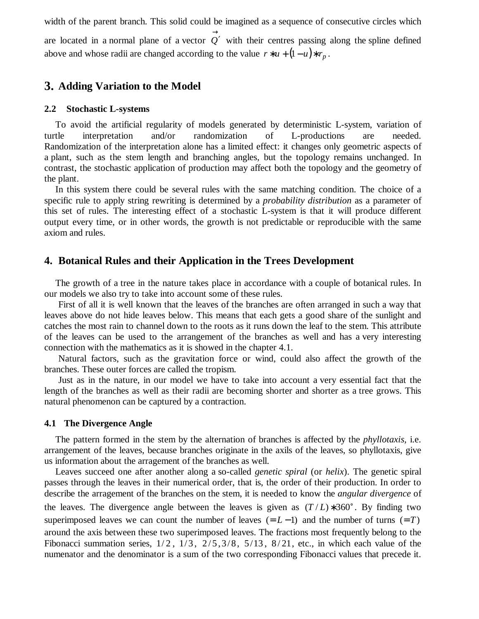width of the parent branch. This solid could be imagined as a sequence of consecutive circles which are located in a normal plane of a vector  $\rightarrow$ *Q*′ with their centres passing along the spline defined above and whose radii are changed according to the value  $r * u + (1 - u) * r_p$ .

### **3. Adding Variation to the Model**

#### **2.2 Stochastic L-systems**

To avoid the artificial regularity of models generated by deterministic L-system, variation of turtle interpretation and/or randomization of L-productions are needed. Randomization of the interpretation alone has a limited effect: it changes only geometric aspects of a plant, such as the stem length and branching angles, but the topology remains unchanged. In contrast, the stochastic application of production may affect both the topology and the geometry of the plant.

In this system there could be several rules with the same matching condition. The choice of a specific rule to apply string rewriting is determined by a *probability distribution* as a parameter of this set of rules. The interesting effect of a stochastic L-system is that it will produce different output every time, or in other words, the growth is not predictable or reproducible with the same axiom and rules.

### **4. Botanical Rules and their Application in the Trees Development**

The growth of a tree in the nature takes place in accordance with a couple of botanical rules. In our models we also try to take into account some of these rules.

First of all it is well known that the leaves of the branches are often arranged in such a way that leaves above do not hide leaves below. This means that each gets a good share of the sunlight and catches the most rain to channel down to the roots as it runs down the leaf to the stem. This attribute of the leaves can be used to the arrangement of the branches as well and has a very interesting connection with the mathematics as it is showed in the chapter 4.1.

Natural factors, such as the gravitation force or wind, could also affect the growth of the branches. These outer forces are called the tropism.

Just as in the nature, in our model we have to take into account a very essential fact that the length of the branches as well as their radii are becoming shorter and shorter as a tree grows. This natural phenomenon can be captured by a contraction.

#### **4.1 The Divergence Angle**

The pattern formed in the stem by the alternation of branches is affected by the *phyllotaxis,* i.e. arrangement of the leaves, because branches originate in the axils of the leaves, so phyllotaxis, give us information about the arragement of the branches as well.

Leaves succeed one after another along a so-called *genetic spiral* (or *helix*). The genetic spiral passes through the leaves in their numerical order, that is, the order of their production. In order to describe the arragement of the branches on the stem, it is needed to know the *angular divergence* of the leaves. The divergence angle between the leaves is given as  $(T/L) * 360^\circ$ . By finding two superimposed leaves we can count the number of leaves  $(= L - 1)$  and the number of turns  $(= T)$ around the axis between these two superimposed leaves. The fractions most frequently belong to the Fibonacci summation series,  $1/2$ ,  $1/3$ ,  $2/5$ ,  $3/8$ ,  $5/13$ ,  $8/21$ , etc., in which each value of the numenator and the denominator is a sum of the two corresponding Fibonacci values that precede it.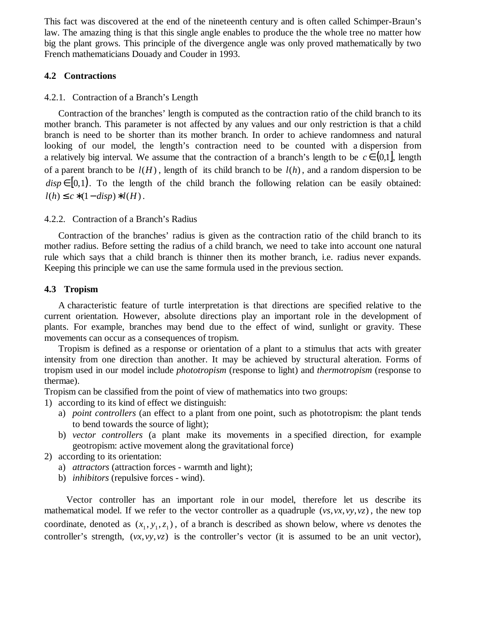This fact was discovered at the end of the nineteenth century and is often called Schimper-Braun's law. The amazing thing is that this single angle enables to produce the the whole tree no matter how big the plant grows. This principle of the divergence angle was only proved mathematically by two French mathematicians Douady and Couder in 1993.

### **4.2 Contractions**

#### 4.2.1. Contraction of a Branch's Length

Contraction of the branches' length is computed as the contraction ratio of the child branch to its mother branch. This parameter is not affected by any values and our only restriction is that a child branch is need to be shorter than its mother branch. In order to achieve randomness and natural looking of our model, the length's contraction need to be counted with a dispersion from a relatively big interval. We assume that the contraction of a branch's length to be  $c \in (0,1]$ , length of a parent branch to be  $l(H)$ , length of its child branch to be  $l(h)$ , and a random dispersion to be  $disp \in [0,1]$ . To the length of the child branch the following relation can be easily obtained:  $l(h)$  ≤  $c$  \* (1 − *disp*) \*  $l(H)$ .

### 4.2.2. Contraction of a Branch's Radius

Contraction of the branches' radius is given as the contraction ratio of the child branch to its mother radius. Before setting the radius of a child branch, we need to take into account one natural rule which says that a child branch is thinner then its mother branch, i.e. radius never expands. Keeping this principle we can use the same formula used in the previous section.

#### **4.3 Tropism**

A characteristic feature of turtle interpretation is that directions are specified relative to the current orientation. However, absolute directions play an important role in the development of plants. For example, branches may bend due to the effect of wind, sunlight or gravity. These movements can occur as a consequences of tropism.

Tropism is defined as a response or orientation of a plant to a stimulus that acts with greater intensity from one direction than another. It may be achieved by structural alteration. Forms of tropism used in our model include *phototropism* (response to light) and *thermotropism* (response to thermae).

Tropism can be classified from the point of view of mathematics into two groups:

- 1) according to its kind of effect we distinguish:
	- a) *point controllers* (an effect to a plant from one point, such as phototropism: the plant tends to bend towards the source of light);
	- b) *vector controllers* (a plant make its movements in a specified direction, for example geotropism: active movement along the gravitational force)
- 2) according to its orientation:
	- a) *attractors* (attraction forces warmth and light);
	- b) *inhibitors* (repulsive forces wind).

Vector controller has an important role in our model, therefore let us describe its mathematical model. If we refer to the vector controller as a quadruple (*vs*,*vx*,*vy*,*vz*) , the new top coordinate, denoted as  $(x_1, y_1, z_1)$ , of a branch is described as shown below, where *vs* denotes the controller's strength, (*vx*,*vy*,*vz*) is the controller's vector (it is assumed to be an unit vector),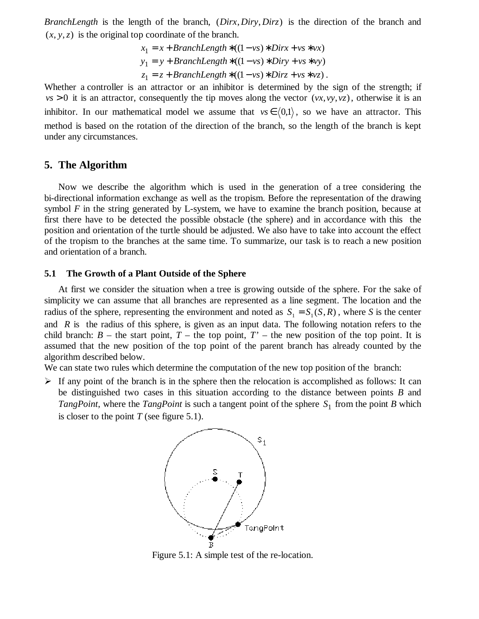*BranchLength* is the length of the branch, (*Dirx*, *Diry*, *Dirz*) is the direction of the branch and  $(x, y, z)$  is the original top coordinate of the branch.

$$
x_1 = x + BranchLength * ((1 - vs) * Dirx + vs * vx)
$$
  
\n
$$
y_1 = y + BranchLength * ((1 - vs) * Diry + vs * vy)
$$
  
\n
$$
z_1 = z + BranchLength * ((1 - vs) * Dirz + vs * vz).
$$

Whether a controller is an attractor or an inhibitor is determined by the sign of the strength; if  $vs > 0$  it is an attractor, consequently the tip moves along the vector  $(vx, vy, vz)$ , otherwise it is an inhibitor. In our mathematical model we assume that  $vs \in (0,1)$ , so we have an attractor. This method is based on the rotation of the direction of the branch, so the length of the branch is kept under any circumstances.

### **5. The Algorithm**

Now we describe the algorithm which is used in the generation of a tree considering the bi-directional information exchange as well as the tropism. Before the representation of the drawing symbol *F* in the string generated by L-system, we have to examine the branch position, because at first there have to be detected the possible obstacle (the sphere) and in accordance with this the position and orientation of the turtle should be adjusted. We also have to take into account the effect of the tropism to the branches at the same time. To summarize, our task is to reach a new position and orientation of a branch.

#### **5.1 The Growth of a Plant Outside of the Sphere**

At first we consider the situation when a tree is growing outside of the sphere. For the sake of simplicity we can assume that all branches are represented as a line segment. The location and the radius of the sphere, representing the environment and noted as  $S_1 = S_1(S, R)$ , where *S* is the center and *R* is the radius of this sphere, is given as an input data. The following notation refers to the child branch:  $B$  – the start point,  $T$  – the top point,  $T'$  – the new position of the top point. It is assumed that the new position of the top point of the parent branch has already counted by the algorithm described below.

We can state two rules which determine the computation of the new top position of the branch:

 $\triangleright$  If any point of the branch is in the sphere then the relocation is accomplished as follows: It can be distinguished two cases in this situation according to the distance between points *B* and *TangPoint*, where the *TangPoint* is such a tangent point of the sphere  $S_1$  from the point *B* which is closer to the point  $T$  (see figure 5.1).



Figure 5.1: A simple test of the re-location.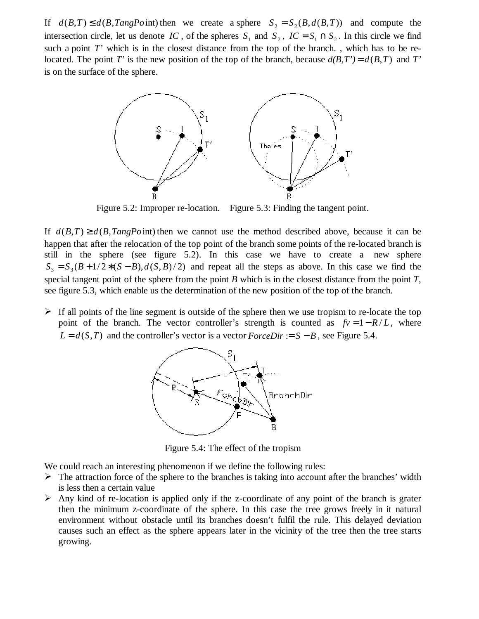If  $d(B,T) \leq d(B,TangPoint)$  then we create a sphere  $S_2 = S_2(B,d(B,T))$  and compute the intersection circle, let us denote *IC*, of the spheres  $S_1$  and  $S_2$ ,  $IC = S_1 \cap S_2$ . In this circle we find such a point *T*' which is in the closest distance from the top of the branch., which has to be relocated. The point *T'* is the new position of the top of the branch, because  $d(B,T') = d(B,T)$  and *T'* is on the surface of the sphere.



Figure 5.2: Improper re-location. Figure 5.3: Finding the tangent point.

If  $d(B,T) \geq d(B,TangPoint)$  then we cannot use the method described above, because it can be happen that after the relocation of the top point of the branch some points of the re-located branch is still in the sphere (see figure 5.2). In this case we have to create a new sphere  $S_3 = S_3 (B + 1/2 * (S - B), d(S, B) / 2)$  and repeat all the steps as above. In this case we find the special tangent point of the sphere from the point *B* which is in the closest distance from the point *T*, see figure 5.3, which enable us the determination of the new position of the top of the branch.

If all points of the line segment is outside of the sphere then we use tropism to re-locate the top point of the branch. The vector controller's strength is counted as  $fv = 1 - R/L$ , where  $L = d(S,T)$  and the controller's vector is a vector *ForceDir* :=  $S - B$ , see Figure 5.4.



Figure 5.4: The effect of the tropism

We could reach an interesting phenomenon if we define the following rules:

- $\triangleright$  The attraction force of the sphere to the branches is taking into account after the branches' width is less then a certain value
- $\triangleright$  Any kind of re-location is applied only if the z-coordinate of any point of the branch is grater then the minimum z-coordinate of the sphere. In this case the tree grows freely in it natural environment without obstacle until its branches doesn't fulfil the rule. This delayed deviation causes such an effect as the sphere appears later in the vicinity of the tree then the tree starts growing.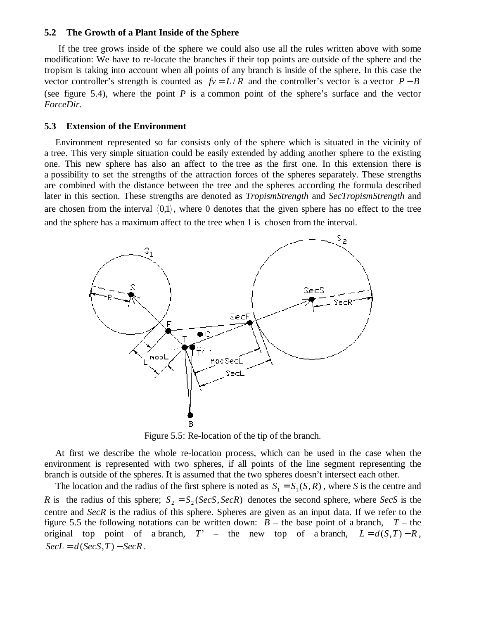#### **5.2 The Growth of a Plant Inside of the Sphere**

If the tree grows inside of the sphere we could also use all the rules written above with some modification: We have to re-locate the branches if their top points are outside of the sphere and the tropism is taking into account when all points of any branch is inside of the sphere. In this case the vector controller's strength is counted as  $fv = L/R$  and the controller's vector is a vector  $P - B$ (see figure 5.4), where the point *P* is a common point of the sphere's surface and the vector *ForceDir*.

#### **5.3 Extension of the Environment**

Environment represented so far consists only of the sphere which is situated in the vicinity of a tree. This very simple situation could be easily extended by adding another sphere to the existing one. This new sphere has also an affect to the tree as the first one. In this extension there is a possibility to set the strengths of the attraction forces of the spheres separately. These strengths are combined with the distance between the tree and the spheres according the formula described later in this section. These strengths are denoted as *TropismStrength* and *SecTropismStrength* and are chosen from the interval  $(0,1)$ , where 0 denotes that the given sphere has no effect to the tree and the sphere has a maximum affect to the tree when 1 is chosen from the interval.



Figure 5.5: Re-location of the tip of the branch.

At first we describe the whole re-location process, which can be used in the case when the environment is represented with two spheres, if all points of the line segment representing the branch is outside of the spheres. It is assumed that the two spheres doesn't intersect each other.

The location and the radius of the first sphere is noted as  $S_1 = S_1(S, R)$ , where *S* is the centre and *R* is the radius of this sphere;  $S_2 = S_2 (SecS, SecR)$  denotes the second sphere, where *SecS* is the centre and *SecR* is the radius of this sphere. Spheres are given as an input data. If we refer to the figure 5.5 the following notations can be written down:  $B$  – the base point of a branch,  $T$  – the original top point of a branch,  $T'$  – the new top of a branch,  $L = d(S,T) - R$ ,  $SecL = d(SecS, T) - SecR$ .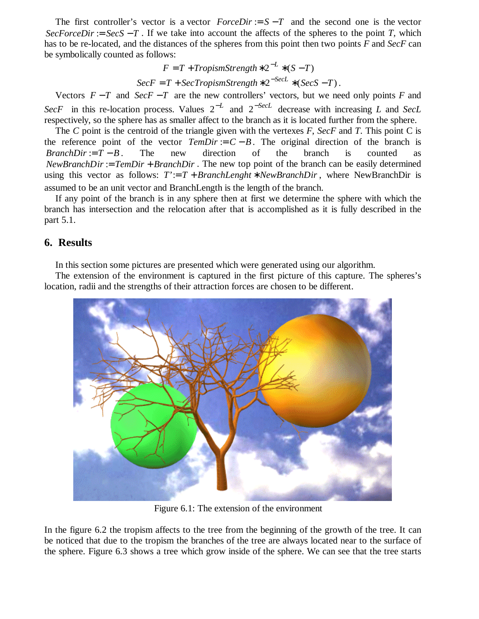The first controller's vector is a vector  $ForceDir := S - T$  and the second one is the vector *SecForceDir* := *SecS* − *T*. If we take into account the affects of the spheres to the point *T*, which has to be re-located, and the distances of the spheres from this point then two points *F* and *SecF* can be symbolically counted as follows:

$$
F = T + TropismStreamgh * 2^{-L} * (S - T)
$$

 $SecF = T + SecTropismStream the * 2^{-SecL} * (SecS - T)$ .

Vectors  $F - T$  and  $SecF - T$  are the new controllers' vectors, but we need only points *F* and  $SecF$  in this re-location process. Values  $2^{-L}$  and  $2^{-SecL}$  decrease with increasing *L* and *SecL* respectively, so the sphere has as smaller affect to the branch as it is located further from the sphere.

The *C* point is the centroid of the triangle given with the vertexes *F*, *SecF* and *T*. This point C is the reference point of the vector  $TempDir = C - B$ . The original direction of the branch is *BranchDir* :=  $T - B$ . The new direction of the branch is counted as *NewBranchDir* := *TemDir* + *BranchDir* . The new top point of the branch can be easily determined using this vector as follows:  $T' = T + BranchLength * NewBranchDir$ , where NewBranchDir is assumed to be an unit vector and BranchLength is the length of the branch.

If any point of the branch is in any sphere then at first we determine the sphere with which the branch has intersection and the relocation after that is accomplished as it is fully described in the part 5.1.

# **6. Results**

In this section some pictures are presented which were generated using our algorithm.

The extension of the environment is captured in the first picture of this capture. The spheres's location, radii and the strengths of their attraction forces are chosen to be different.



Figure 6.1: The extension of the environment

In the figure 6.2 the tropism affects to the tree from the beginning of the growth of the tree. It can be noticed that due to the tropism the branches of the tree are always located near to the surface of the sphere. Figure 6.3 shows a tree which grow inside of the sphere. We can see that the tree starts